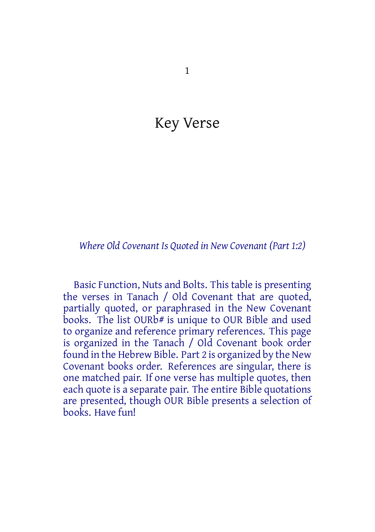## Key Verse

#### *Where Old Covenant Is Quoted in New Covenant (Part 1:2)*

Basic Function, Nuts and Bolts. Thistable is presenting the verses in Tanach / Old Covenant that are quoted, partially quoted, or paraphrased in the New Covenant books. The list OURb# is unique to OUR Bible and used to organize and reference primary references. This page is organized in the Tanach / Old Covenant book order found in the Hebrew Bible. Part 2 is organized by the New Covenant books order. References are singular, there is one matched pair. If one verse has multiple quotes, then each quote is a separate pair. The entire Bible quotations are presented, though OUR Bible presents a selection of books. Have fun!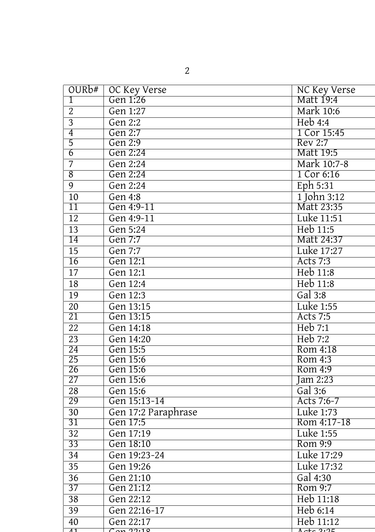|    | ۰ |             |  |
|----|---|-------------|--|
| ×. |   | ٠<br>i<br>I |  |
|    |   |             |  |
|    |   |             |  |

| OURb#           | OC Key Verse          | <b>NC Key Verse</b> |
|-----------------|-----------------------|---------------------|
| 1               | Gen 1:26              | Matt 19:4           |
| $\overline{2}$  | Gen 1:27              | <b>Mark 10:6</b>    |
| $\overline{3}$  | Gen 2:2               | Heb4:4              |
| $\overline{4}$  | Gen 2:7               | 1 Cor 15:45         |
| $\overline{5}$  | Gen 2:9               | Rev 2:7             |
| $\overline{6}$  | Gen 2:24              | <b>Matt 19:5</b>    |
| 7               | Gen 2:24              | Mark 10:7-8         |
| $\overline{8}$  | Gen 2:24              | 1 Cor 6:16          |
| $\overline{9}$  | Gen 2:24              | Eph 5:31            |
| $\overline{10}$ | Gen 4:8               | 1 John 3:12         |
| $\overline{11}$ | Gen 4:9-11            | Matt 23:35          |
| $\overline{12}$ | Gen 4:9-11            | Luke 11:51          |
| $\overline{13}$ | Gen 5:24              | Heb 11:5            |
| $\overline{14}$ | Gen 7:7               | Matt 24:37          |
| $\overline{15}$ | Gen 7:7               | Luke 17:27          |
| 16              | Gen 12:1              | <b>Acts 7:3</b>     |
| $\overline{17}$ | $\overline{Gen 12:1}$ | Heb 11:8            |
| $\overline{18}$ | Gen 12:4              | Heb 11:8            |
| $\overline{19}$ | Gen 12:3              | Gal $3:8$           |
| $\overline{20}$ | Gen 13:15             | <b>Luke 1:55</b>    |
| $\overline{21}$ | Gen 13:15             | <b>Acts 7:5</b>     |
| $\overline{22}$ | Gen 14:18             | Heb 7:1             |
| $\overline{23}$ | Gen 14:20             | Heb 7:2             |
| 24              | Gen 15:5              | Rom 4:18            |
| 25              | Gen 15:6              | Rom 4:3             |
| 26              | Gen 15:6              | Rom 4:9             |
| 27              | Gen 15:6              | Jam 2:23            |
| 28              | Gen 15:6              | Gal $3:6$           |
| 29              | Gen 15:13-14          | Acts 7:6-7          |
| $\overline{30}$ | Gen 17:2 Paraphrase   | Luke 1:73           |
| 31              | Gen 17:5              | Rom 4:17-18         |
| $\overline{32}$ | Gen 17:19             | <b>Luke 1:55</b>    |
| 33              | Gen 18:10             | Rom 9:9             |
| $\overline{34}$ | Gen 19:23-24          | Luke 17:29          |
| $\overline{35}$ | Gen 19:26             | Luke 17:32          |
| $\overline{36}$ | Gen 21:10             | Gal 4:30            |
| $\overline{37}$ | Gen 21:12             | Rom 9:7             |
| $\overline{38}$ | Gen 22:12             | Heb 11:18           |
| $\overline{39}$ | Gen 22:16-17          | Heb 6:14            |
| 40              | Gen 22:17             | Heb 11:12           |
| $\overline{11}$ | Can 11:10             | $A$ cte $2:25$      |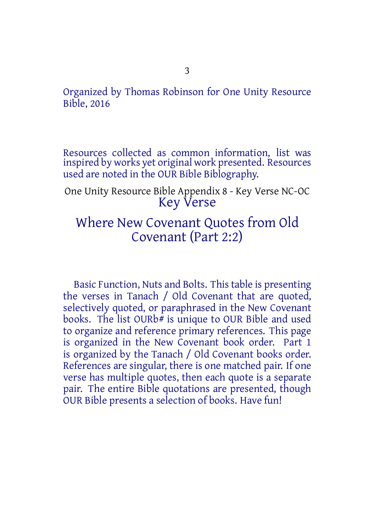Organized by Thomas Robinson for One Unity Resource Bible, 2016

Resources collected as common information, list was inspired by works yet original work presented. Resources used are noted in the OUR Bible Biblography.

One Unity Resource Bible Appendix 8 - Key Verse NC-OC Key Verse

### Where New Covenant Quotes from Old Covenant (Part 2:2)

Basic Function, Nuts and Bolts. Thistable is presenting the verses in Tanach / Old Covenant that are quoted, selectively quoted, or paraphrased in the New Covenant books. The list OURb# is unique to OUR Bible and used to organize and reference primary references. This page is organized in the New Covenant book order. Part 1 is organized by the Tanach / Old Covenant books order. References are singular, there is one matched pair. If one verse has multiple quotes, then each quote is a separate pair. The entire Bible quotations are presented, though OUR Bible presents a selection of books. Have fun!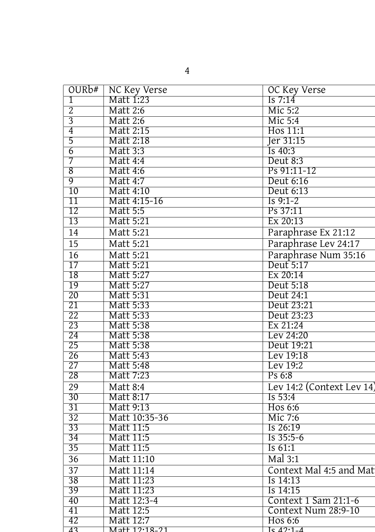| OUR <sub>b#</sub> | NC Key Verse     | OC Key Verse              |
|-------------------|------------------|---------------------------|
| 1                 | Matt 1:23        | Is $7:14$                 |
| $\overline{2}$    | <b>Matt 2:6</b>  | Mic 5:2                   |
| $\overline{3}$    | <b>Matt 2:6</b>  | Mic 5:4                   |
| $\overline{4}$    | Matt 2:15        | Hos 11:1                  |
| $\overline{5}$    | Matt 2:18        | Jer 31:15                 |
| $\overline{6}$    | <b>Matt 3:3</b>  | Is 40:3                   |
| 7                 | <b>Matt 4:4</b>  | Deut 8:3                  |
| $\overline{8}$    | <b>Matt 4:6</b>  | Ps 91:11-12               |
| $\overline{9}$    | Matt 4:7         | Deut 6:16                 |
| $\overline{10}$   | Matt 4:10        | Deut 6:13                 |
| $\overline{11}$   | Matt 4:15-16     | $Is 9:1-2$                |
| 12                | <b>Matt 5:5</b>  | Ps 37:11                  |
| 13                | Matt 5:21        | Ex 20:13                  |
| 14                | <b>Matt 5:21</b> | Paraphrase Ex 21:12       |
| 15                | Matt 5:21        | Paraphrase Lev 24:17      |
| $\overline{16}$   | <b>Matt 5:21</b> | Paraphrase Num 35:16      |
| $\overline{17}$   | Matt 5:21        | Deut 5:17                 |
| $\overline{18}$   | Matt 5:27        | Ex 20:14                  |
| $\overline{19}$   | Matt 5:27        | Deut 5:18                 |
| $\overline{20}$   | Matt 5:31        | Deut 24:1                 |
| $\overline{21}$   | Matt 5:33        | Deut 23:21                |
| $\overline{22}$   | Matt 5:33        | Deut 23:23                |
| 23                | Matt 5:38        | Ex 21:24                  |
| $\overline{24}$   | Matt 5:38        | Lev 24:20                 |
| $\overline{25}$   | Matt 5:38        | Deut 19:21                |
| $\overline{26}$   | Matt 5:43        | Lev 19:18                 |
| $\overline{27}$   | Matt 5:48        | Lev 19:2                  |
| 28                | Matt 7:23        | Ps 6:8                    |
| 29                | <b>Matt 8:4</b>  | Lev 14:2 (Context Lev 14) |
| 30                | Matt 8:17        | Is 53:4                   |
| 31                | Matt 9:13        | Hos 6:6                   |
| $\overline{32}$   | Matt 10:35-36    | Mic 7:6                   |
| $\overline{33}$   | <b>Matt 11:5</b> | Is 26:19                  |
| $\overline{34}$   | <b>Matt 11:5</b> | $Is 35:5-6$               |
| $\overline{35}$   | <b>Matt 11:5</b> | Is $61:1$                 |
| $\overline{36}$   | Matt 11:10       | Mal 3:1                   |
| $\overline{37}$   | Matt 11:14       | Context Mal 4:5 and Mat   |
| 38                | Matt 11:23       | Is 14:13                  |
| 39                | Matt 11:23       | Is 14:15                  |
| 40                | Matt 12:3-4      | Context 1 Sam 21:1-6      |
| 41                | Matt 12:5        | Context Num 28:9-10       |
| 42                | Matt 12:7        | Hos 6:6                   |
| $\overline{43}$   | Matt 12.18-21    | Is $42.1 - 4$             |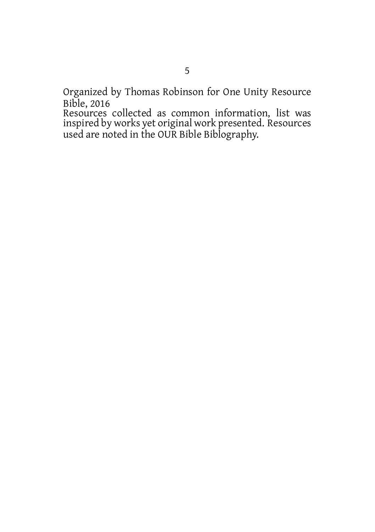Organized by Thomas Robinson for One Unity Resource Bible, 2016

Resources collected as common information, list was inspired by works yet original work presented. Resources used are noted in the OUR Bible Biblography.